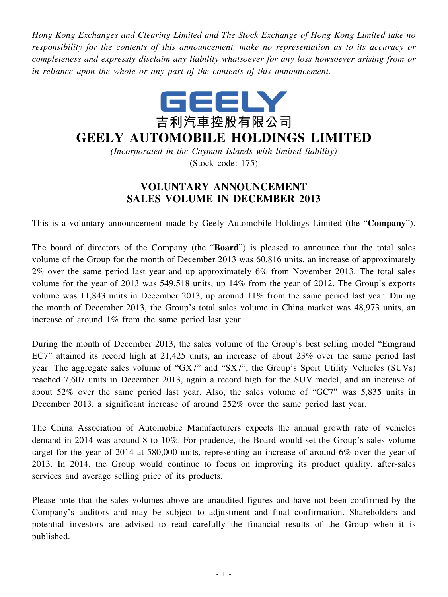*Hong Kong Exchanges and Clearing Limited and The Stock Exchange of Hong Kong Limited take no responsibility for the contents of this announcement, make no representation as to its accuracy or completeness and expressly disclaim any liability whatsoever for any loss howsoever arising from or in reliance upon the whole or any part of the contents of this announcement.*



## **GEELY AUTOMOBILE HOLDINGS LIMITED**

*(Incorporated in the Cayman Islands with limited liability)* (Stock code: 175)

## **VOLUNTARY ANNOUNCEMENT SALES VOLUME IN DECEMBER 2013**

This is a voluntary announcement made by Geely Automobile Holdings Limited (the "**Company**").

The board of directors of the Company (the "**Board**") is pleased to announce that the total sales volume of the Group for the month of December 2013 was 60,816 units, an increase of approximately 2% over the same period last year and up approximately 6% from November 2013. The total sales volume for the year of 2013 was 549,518 units, up 14% from the year of 2012. The Group's exports volume was 11,843 units in December 2013, up around 11% from the same period last year. During the month of December 2013, the Group's total sales volume in China market was 48,973 units, an increase of around 1% from the same period last year.

During the month of December 2013, the sales volume of the Group's best selling model "Emgrand EC7" attained its record high at 21,425 units, an increase of about 23% over the same period last year. The aggregate sales volume of "GX7" and "SX7", the Group's Sport Utility Vehicles (SUVs) reached 7,607 units in December 2013, again a record high for the SUV model, and an increase of about 52% over the same period last year. Also, the sales volume of "GC7" was 5,835 units in December 2013, a significant increase of around 252% over the same period last year.

The China Association of Automobile Manufacturers expects the annual growth rate of vehicles demand in 2014 was around 8 to 10%. For prudence, the Board would set the Group's sales volume target for the year of 2014 at 580,000 units, representing an increase of around 6% over the year of 2013. In 2014, the Group would continue to focus on improving its product quality, after-sales services and average selling price of its products.

Please note that the sales volumes above are unaudited figures and have not been confirmed by the Company's auditors and may be subject to adjustment and final confirmation. Shareholders and potential investors are advised to read carefully the financial results of the Group when it is published.